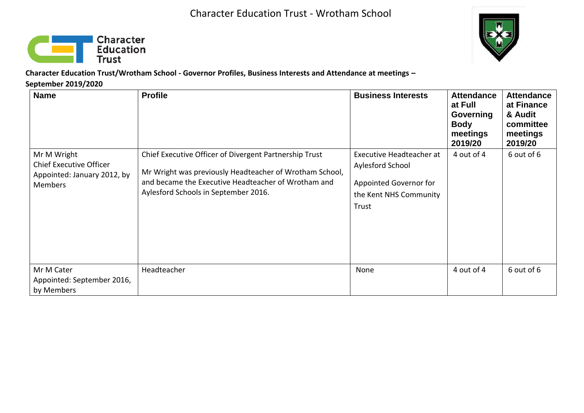



**Character Education Trust/Wrotham School - Governor Profiles, Business Interests and Attendance at meetings – September 2019/2020** 

| <b>Name</b>                                                                                    | <b>Profile</b>                                                                                                                                                                                                   | <b>Business Interests</b>                                                                                 | <b>Attendance</b><br>at Full<br>Governing<br><b>Body</b><br>meetings<br>2019/20 | <b>Attendance</b><br>at Finance<br>& Audit<br>committee<br>meetings<br>2019/20 |
|------------------------------------------------------------------------------------------------|------------------------------------------------------------------------------------------------------------------------------------------------------------------------------------------------------------------|-----------------------------------------------------------------------------------------------------------|---------------------------------------------------------------------------------|--------------------------------------------------------------------------------|
| Mr M Wright<br><b>Chief Executive Officer</b><br>Appointed: January 2012, by<br><b>Members</b> | Chief Executive Officer of Divergent Partnership Trust<br>Mr Wright was previously Headteacher of Wrotham School,<br>and became the Executive Headteacher of Wrotham and<br>Aylesford Schools in September 2016. | Executive Headteacher at<br>Aylesford School<br>Appointed Governor for<br>the Kent NHS Community<br>Trust | 4 out of 4                                                                      | 6 out of 6                                                                     |
| Mr M Cater<br>Appointed: September 2016,<br>by Members                                         | Headteacher                                                                                                                                                                                                      | None                                                                                                      | 4 out of 4                                                                      | 6 out of 6                                                                     |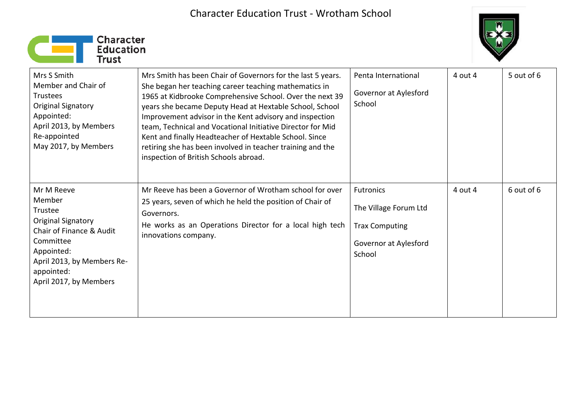



| Mrs S Smith<br>Member and Chair of<br><b>Trustees</b><br>Original Signatory<br>Appointed:<br>April 2013, by Members<br>Re-appointed<br>May 2017, by Members                        | Mrs Smith has been Chair of Governors for the last 5 years.<br>She began her teaching career teaching mathematics in<br>1965 at Kidbrooke Comprehensive School. Over the next 39<br>years she became Deputy Head at Hextable School, School<br>Improvement advisor in the Kent advisory and inspection<br>team, Technical and Vocational Initiative Director for Mid<br>Kent and finally Headteacher of Hextable School. Since<br>retiring she has been involved in teacher training and the<br>inspection of British Schools abroad. | Penta International<br>Governor at Aylesford<br>School                                                | 4 out 4 | 5 out of 6 |
|------------------------------------------------------------------------------------------------------------------------------------------------------------------------------------|---------------------------------------------------------------------------------------------------------------------------------------------------------------------------------------------------------------------------------------------------------------------------------------------------------------------------------------------------------------------------------------------------------------------------------------------------------------------------------------------------------------------------------------|-------------------------------------------------------------------------------------------------------|---------|------------|
| Mr M Reeve<br>Member<br>Trustee<br>Original Signatory<br>Chair of Finance & Audit<br>Committee<br>Appointed:<br>April 2013, by Members Re-<br>appointed:<br>April 2017, by Members | Mr Reeve has been a Governor of Wrotham school for over<br>25 years, seven of which he held the position of Chair of<br>Governors.<br>He works as an Operations Director for a local high tech<br>innovations company.                                                                                                                                                                                                                                                                                                                | <b>Futronics</b><br>The Village Forum Ltd<br><b>Trax Computing</b><br>Governor at Aylesford<br>School | 4 out 4 | 6 out of 6 |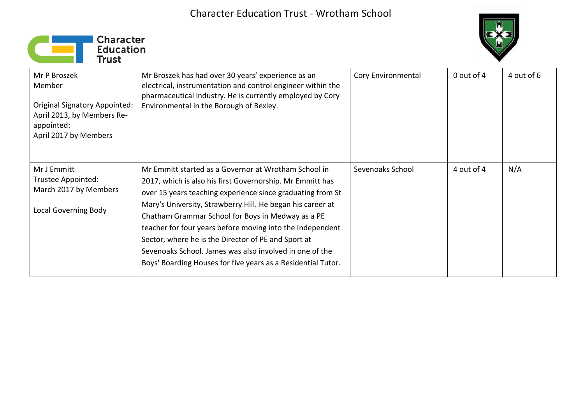



| Mr P Broszek<br>Member<br><b>Original Signatory Appointed:</b><br>April 2013, by Members Re-<br>appointed:<br>April 2017 by Members | Mr Broszek has had over 30 years' experience as an<br>electrical, instrumentation and control engineer within the<br>pharmaceutical industry. He is currently employed by Cory<br>Environmental in the Borough of Bexley.                                                                                                                                                                                                                                                                                                                         | Cory Environmental | 0 out of 4 | 4 out of 6 |
|-------------------------------------------------------------------------------------------------------------------------------------|---------------------------------------------------------------------------------------------------------------------------------------------------------------------------------------------------------------------------------------------------------------------------------------------------------------------------------------------------------------------------------------------------------------------------------------------------------------------------------------------------------------------------------------------------|--------------------|------------|------------|
| Mr J Emmitt<br>Trustee Appointed:<br>March 2017 by Members<br><b>Local Governing Body</b>                                           | Mr Emmitt started as a Governor at Wrotham School in<br>2017, which is also his first Governorship. Mr Emmitt has<br>over 15 years teaching experience since graduating from St<br>Mary's University, Strawberry Hill. He began his career at<br>Chatham Grammar School for Boys in Medway as a PE<br>teacher for four years before moving into the Independent<br>Sector, where he is the Director of PE and Sport at<br>Sevenoaks School. James was also involved in one of the<br>Boys' Boarding Houses for five years as a Residential Tutor. | Sevenoaks School   | 4 out of 4 | N/A        |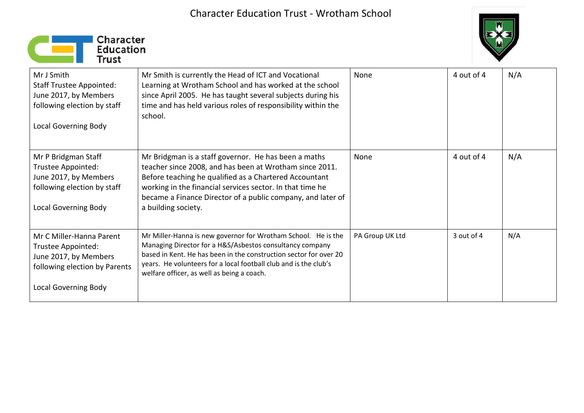



| Mr J Smith<br><b>Staff Trustee Appointed:</b><br>June 2017, by Members<br>following election by staff<br><b>Local Governing Body</b>    | Mr Smith is currently the Head of ICT and Vocational<br>Learning at Wrotham School and has worked at the school<br>since April 2005. He has taught several subjects during his<br>time and has held various roles of responsibility within the<br>school.                                                                    | None            | 4 out of 4 | N/A |
|-----------------------------------------------------------------------------------------------------------------------------------------|------------------------------------------------------------------------------------------------------------------------------------------------------------------------------------------------------------------------------------------------------------------------------------------------------------------------------|-----------------|------------|-----|
| Mr P Bridgman Staff<br>Trustee Appointed:<br>June 2017, by Members<br>following election by staff<br><b>Local Governing Body</b>        | Mr Bridgman is a staff governor. He has been a maths<br>teacher since 2008, and has been at Wrotham since 2011.<br>Before teaching he qualified as a Chartered Accountant<br>working in the financial services sector. In that time he<br>became a Finance Director of a public company, and later of<br>a building society. | None            | 4 out of 4 | N/A |
| Mr C Miller-Hanna Parent<br>Trustee Appointed:<br>June 2017, by Members<br>following election by Parents<br><b>Local Governing Body</b> | Mr Miller-Hanna is new governor for Wrotham School. He is the<br>Managing Director for a H&S/Asbestos consultancy company<br>based in Kent. He has been in the construction sector for over 20<br>years. He volunteers for a local football club and is the club's<br>welfare officer, as well as being a coach.             | PA Group UK Ltd | 3 out of 4 | N/A |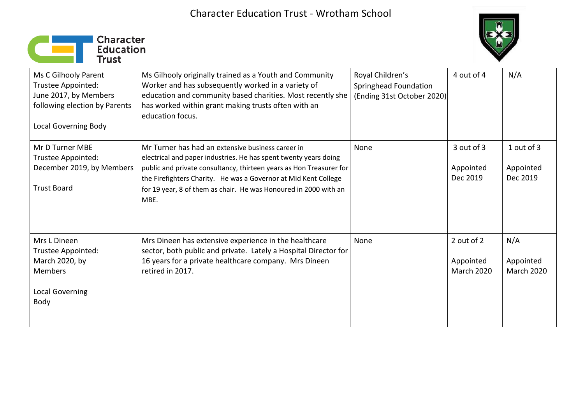



| Ms C Gilhooly Parent<br>Trustee Appointed:<br>June 2017, by Members<br>following election by Parents<br><b>Local Governing Body</b> | Ms Gilhooly originally trained as a Youth and Community<br>Worker and has subsequently worked in a variety of<br>education and community based charities. Most recently she<br>has worked within grant making trusts often with an<br>education focus.                                                                                      | Royal Children's<br>Springhead Foundation<br>(Ending 31st October 2020) | 4 out of 4                                   | N/A                                   |
|-------------------------------------------------------------------------------------------------------------------------------------|---------------------------------------------------------------------------------------------------------------------------------------------------------------------------------------------------------------------------------------------------------------------------------------------------------------------------------------------|-------------------------------------------------------------------------|----------------------------------------------|---------------------------------------|
| Mr D Turner MBE<br>Trustee Appointed:<br>December 2019, by Members<br><b>Trust Board</b>                                            | Mr Turner has had an extensive business career in<br>electrical and paper industries. He has spent twenty years doing<br>public and private consultancy, thirteen years as Hon Treasurer for<br>the Firefighters Charity. He was a Governor at Mid Kent College<br>for 19 year, 8 of them as chair. He was Honoured in 2000 with an<br>MBE. | None                                                                    | 3 out of 3<br>Appointed<br>Dec 2019          | 1 out of 3<br>Appointed<br>Dec 2019   |
| Mrs L Dineen<br>Trustee Appointed:<br>March 2020, by<br>Members<br><b>Local Governing</b><br>Body                                   | Mrs Dineen has extensive experience in the healthcare<br>sector, both public and private. Lately a Hospital Director for<br>16 years for a private healthcare company. Mrs Dineen<br>retired in 2017.                                                                                                                                       | None                                                                    | 2 out of 2<br>Appointed<br><b>March 2020</b> | N/A<br>Appointed<br><b>March 2020</b> |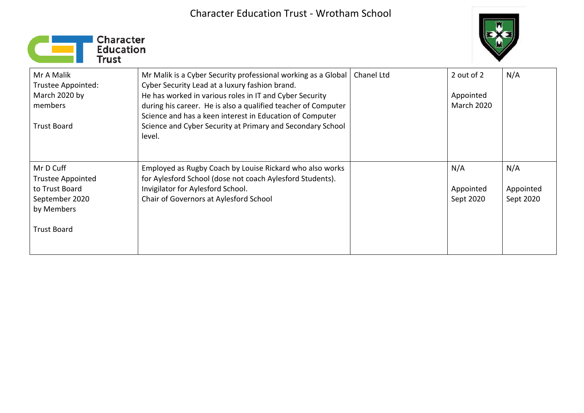



| Mr A Malik<br>Trustee Appointed:<br>March 2020 by<br>members<br><b>Trust Board</b>                            | Mr Malik is a Cyber Security professional working as a Global<br>Cyber Security Lead at a luxury fashion brand.<br>He has worked in various roles in IT and Cyber Security<br>during his career. He is also a qualified teacher of Computer<br>Science and has a keen interest in Education of Computer<br>Science and Cyber Security at Primary and Secondary School<br>level. | Chanel Ltd | 2 out of 2<br>Appointed<br><b>March 2020</b> | N/A                           |
|---------------------------------------------------------------------------------------------------------------|---------------------------------------------------------------------------------------------------------------------------------------------------------------------------------------------------------------------------------------------------------------------------------------------------------------------------------------------------------------------------------|------------|----------------------------------------------|-------------------------------|
| Mr D Cuff<br><b>Trustee Appointed</b><br>to Trust Board<br>September 2020<br>by Members<br><b>Trust Board</b> | Employed as Rugby Coach by Louise Rickard who also works<br>for Aylesford School (dose not coach Aylesford Students).<br>Invigilator for Aylesford School.<br>Chair of Governors at Aylesford School                                                                                                                                                                            |            | N/A<br>Appointed<br>Sept 2020                | N/A<br>Appointed<br>Sept 2020 |